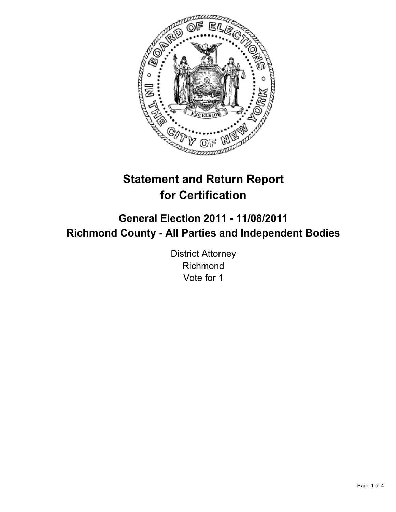

# **Statement and Return Report for Certification**

# **General Election 2011 - 11/08/2011 Richmond County - All Parties and Independent Bodies**

District Attorney Richmond Vote for 1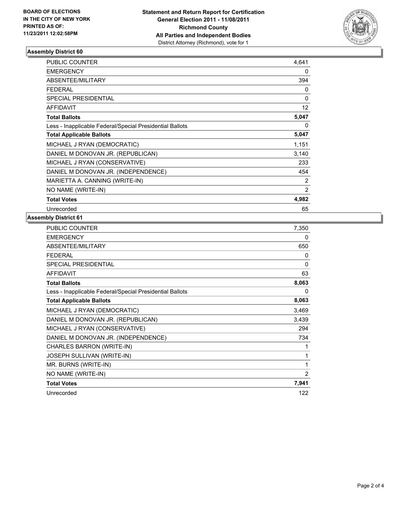

## **Assembly District 60**

| <b>PUBLIC COUNTER</b>                                    | 4,641             |
|----------------------------------------------------------|-------------------|
| <b>EMERGENCY</b>                                         | 0                 |
| ABSENTEE/MILITARY                                        | 394               |
| FEDERAL                                                  | 0                 |
| <b>SPECIAL PRESIDENTIAL</b>                              | $\Omega$          |
| <b>AFFIDAVIT</b>                                         | $12 \overline{ }$ |
| <b>Total Ballots</b>                                     | 5,047             |
| Less - Inapplicable Federal/Special Presidential Ballots | 0                 |
| <b>Total Applicable Ballots</b>                          | 5,047             |
| MICHAEL J RYAN (DEMOCRATIC)                              | 1,151             |
| DANIEL M DONOVAN JR. (REPUBLICAN)                        | 3,140             |
| MICHAEL J RYAN (CONSERVATIVE)                            | 233               |
| DANIEL M DONOVAN JR. (INDEPENDENCE)                      | 454               |
| MARIETTA A. CANNING (WRITE-IN)                           | 2                 |
| NO NAME (WRITE-IN)                                       | $\overline{2}$    |
| <b>Total Votes</b>                                       | 4,982             |
| Unrecorded                                               | 65                |

## **Assembly District 61**

| <b>PUBLIC COUNTER</b>                                    | 7,350 |
|----------------------------------------------------------|-------|
| <b>EMERGENCY</b>                                         | 0     |
| ABSENTEE/MILITARY                                        | 650   |
| <b>FEDERAL</b>                                           | 0     |
| <b>SPECIAL PRESIDENTIAL</b>                              | 0     |
| <b>AFFIDAVIT</b>                                         | 63    |
| <b>Total Ballots</b>                                     | 8,063 |
| Less - Inapplicable Federal/Special Presidential Ballots | 0     |
| <b>Total Applicable Ballots</b>                          | 8,063 |
| MICHAEL J RYAN (DEMOCRATIC)                              | 3,469 |
| DANIEL M DONOVAN JR. (REPUBLICAN)                        | 3,439 |
| MICHAEL J RYAN (CONSERVATIVE)                            | 294   |
| DANIEL M DONOVAN JR. (INDEPENDENCE)                      | 734   |
| CHARLES BARRON (WRITE-IN)                                | 1     |
| JOSEPH SULLIVAN (WRITE-IN)                               | 1     |
| MR. BURNS (WRITE-IN)                                     | 1     |
| NO NAME (WRITE-IN)                                       | 2     |
| <b>Total Votes</b>                                       | 7,941 |
| Unrecorded                                               | 122   |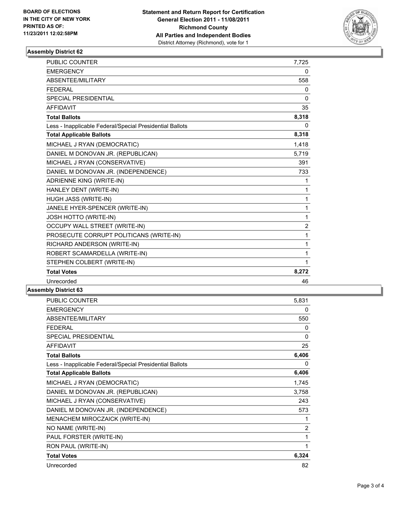

#### **Assembly District 62**

| <b>PUBLIC COUNTER</b>                                    | 7,725          |
|----------------------------------------------------------|----------------|
| <b>EMERGENCY</b>                                         | 0              |
| ABSENTEE/MILITARY                                        | 558            |
| <b>FEDERAL</b>                                           | 0              |
| <b>SPECIAL PRESIDENTIAL</b>                              | $\Omega$       |
| <b>AFFIDAVIT</b>                                         | 35             |
| <b>Total Ballots</b>                                     | 8,318          |
| Less - Inapplicable Federal/Special Presidential Ballots | 0              |
| <b>Total Applicable Ballots</b>                          | 8,318          |
| MICHAEL J RYAN (DEMOCRATIC)                              | 1,418          |
| DANIEL M DONOVAN JR. (REPUBLICAN)                        | 5,719          |
| MICHAEL J RYAN (CONSERVATIVE)                            | 391            |
| DANIEL M DONOVAN JR. (INDEPENDENCE)                      | 733            |
| ADRIENNE KING (WRITE-IN)                                 | 1              |
| HANLEY DENT (WRITE-IN)                                   | 1              |
| HUGH JASS (WRITE-IN)                                     | 1              |
| JANELE HYER-SPENCER (WRITE-IN)                           | 1              |
| JOSH HOTTO (WRITE-IN)                                    | $\mathbf{1}$   |
| <b>OCCUPY WALL STREET (WRITE-IN)</b>                     | $\overline{2}$ |
| PROSECUTE CORRUPT POLITICANS (WRITE-IN)                  | 1              |
| RICHARD ANDERSON (WRITE-IN)                              | $\mathbf{1}$   |
| ROBERT SCAMARDELLA (WRITE-IN)                            | 1              |
| STEPHEN COLBERT (WRITE-IN)                               | 1              |
| <b>Total Votes</b>                                       | 8,272          |
| Unrecorded                                               | 46             |

## **Assembly District 63**

| <b>PUBLIC COUNTER</b>                                    | 5,831          |
|----------------------------------------------------------|----------------|
| <b>EMERGENCY</b>                                         | 0              |
| ABSENTEE/MILITARY                                        | 550            |
| <b>FEDERAL</b>                                           | 0              |
| <b>SPECIAL PRESIDENTIAL</b>                              | 0              |
| <b>AFFIDAVIT</b>                                         | 25             |
| <b>Total Ballots</b>                                     | 6,406          |
| Less - Inapplicable Federal/Special Presidential Ballots | 0              |
| <b>Total Applicable Ballots</b>                          | 6,406          |
| MICHAEL J RYAN (DEMOCRATIC)                              | 1,745          |
| DANIEL M DONOVAN JR. (REPUBLICAN)                        | 3,758          |
| MICHAEL J RYAN (CONSERVATIVE)                            | 243            |
| DANIEL M DONOVAN JR. (INDEPENDENCE)                      | 573            |
| MENACHEM MIROCZAICK (WRITE-IN)                           | 1              |
| NO NAME (WRITE-IN)                                       | $\overline{2}$ |
| PAUL FORSTER (WRITE-IN)                                  | 1              |
| RON PAUL (WRITE-IN)                                      | 1              |
| <b>Total Votes</b>                                       | 6,324          |
| Unrecorded                                               | 82             |